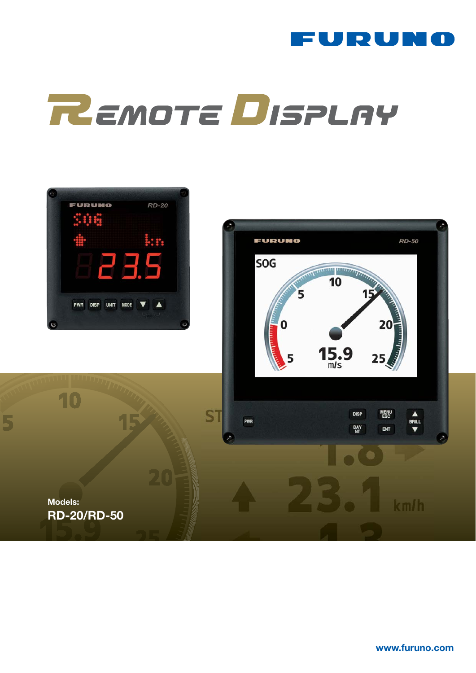

# REMOTE DISPLAY



the state in  $\mathcal{L}^{\text{max}}$  state in  $\mathcal{L}^{\text{max}}$  www.furuno.com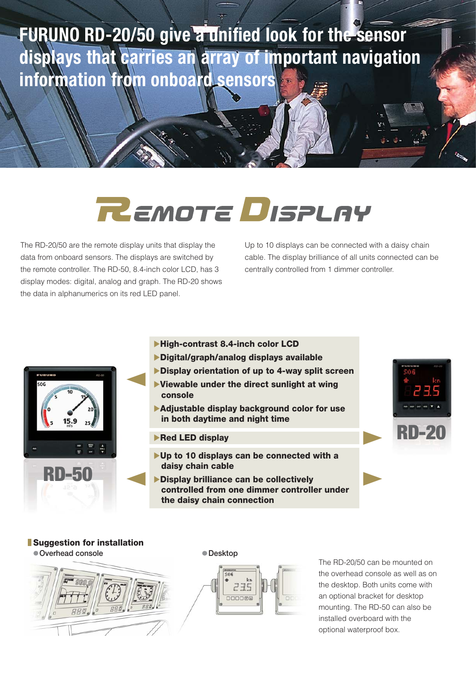## FURUNO RD-20/50 give a unified look for the sensor displays that carries an array of important navigation information from onboard sensors

## **REMOTE DISPLAY**

The RD-20/50 are the remote display units that display the data from onboard sensors. The displays are switched by the remote controller. The RD-50, 8.4-inch color LCD, has 3 display modes: digital, analog and graph. The RD-20 shows the data in alphanumerics on its red LED panel.

Up to 10 displays can be connected with a daisy chain cable. The display brilliance of all units connected can be centrally controlled from 1 dimmer controller.



- XHigh-contrast 8.4-inch color LCD
- XDigital/graph/analog displays available
- Display orientation of up to 4-way split screen
- $\blacktriangleright$  Viewable under the direct sunlight at wing console
- $\blacktriangleright$  Adjustable display background color for use in both daytime and night time
- $\blacktriangleright$  Red LED display
- $\blacktriangleright$  Up to 10 displays can be connected with a daisy chain cable
- Display brilliance can be collectively controlled from one dimmer controller under the daisy chain connection



### **Suggestion for installation**

Overhead console



The RD-20/50 can be mounted on the overhead console as well as on the desktop. Both units come with an optional bracket for desktop mounting. The RD-50 can also be installed overboard with the optional waterproof box.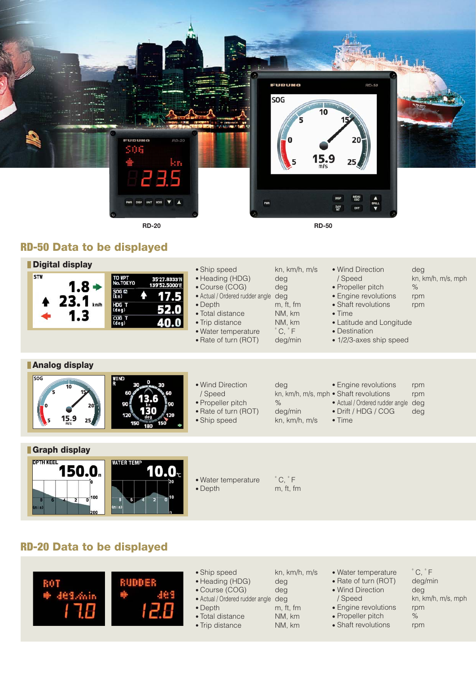

### RD-50 Data to be displayed



## RD-20 Data to be displayed



- Ship speed kn, km/h, m/s
- Heading (HDG) deg
- Course (COG) deg
- Actual / Ordered rudder angle deg
- Depth m, ft, fm
- Total distance NM, km
- Trip distance NM, km

- Water temperature °C, °F<br>• Rate of turn (ROT) deg/min
	- Rate of turn (ROT)
	- Wind Direction deg
	-
	- Engine revolutions rpm
	- Propeller pitch %
	- Shaft revolutions rpm
- / Speed kn, km/h, m/s, mph